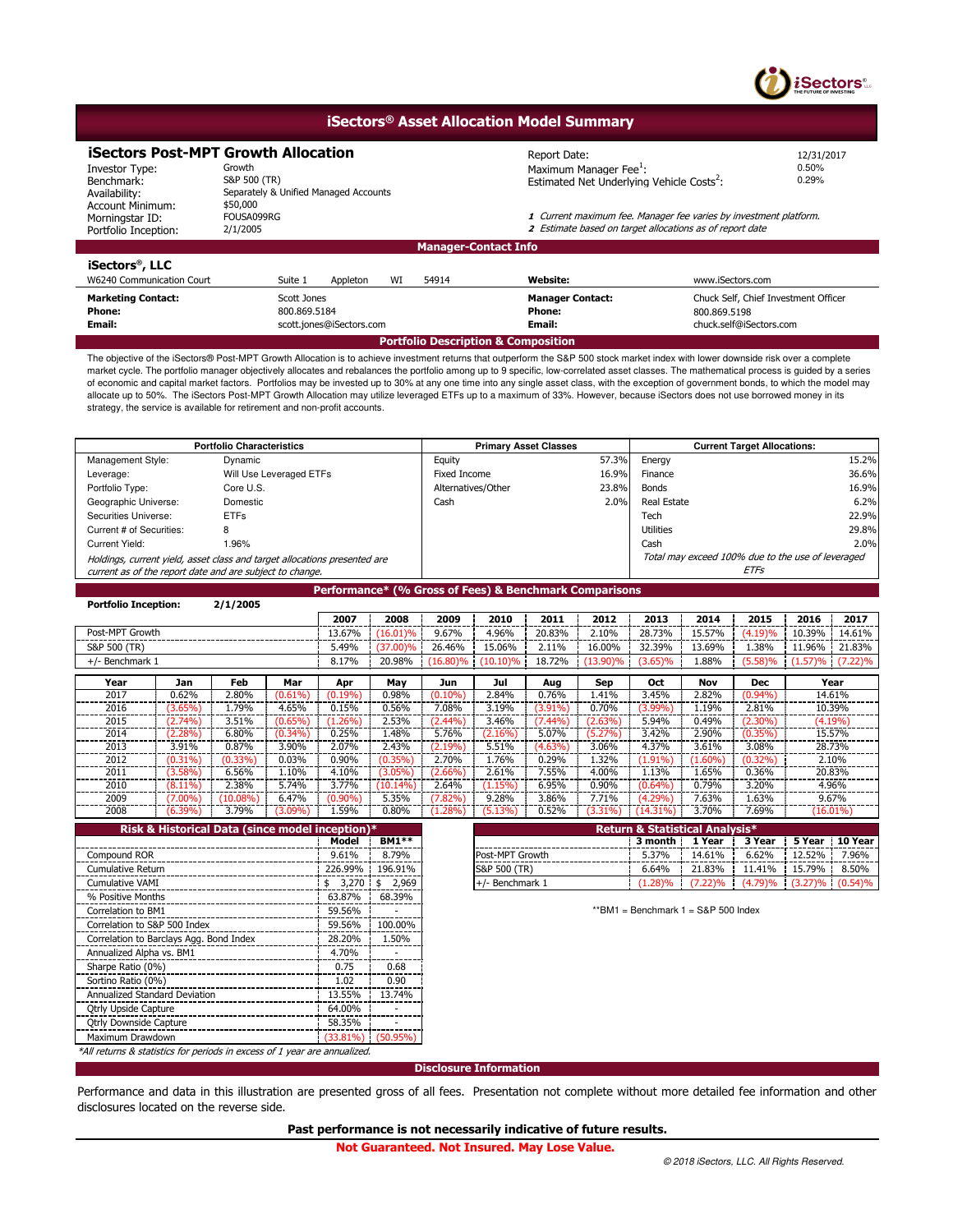

## **iSectors® Asset Allocation Model Summary**

# **iSectors Post-MPT Growth Allocation**<br>Investor Type: Growth **Allocation**<br>Maximum Ma

\$50,000<br>FOUSA099RG

Separately & Unified Managed Accounts

Benchmark: Investor Type: Availability: Account Minimum: Morningstar ID: Portfolio Inception: Growth Growth  $\alpha$  is the contract of  $\alpha$  maximum Manager Fee $^1$ :  $\alpha$  and  $\alpha$  .  $\alpha$  .  $\beta$  .  $\beta$  .  $\beta$  .  $\beta$  .  $\beta$  .  $\beta$  .  $\beta$  .  $\beta$  .  $\beta$  .  $\beta$  .  $\beta$  .  $\beta$  .  $\beta$  .  $\beta$  .  $\beta$  .  $\beta$  .  $\beta$  .  $\beta$  .  $\beta$ S&P 500  $(TR)$  0.29%

12/31/2017

FOUSA099RG **1** Current maximum fee. Manager fee varies by investment platform.<br>2/1/2005 **1.12005** 2.12005 2 Estimate based on target allocations as of report date

## **iSectors® , LLC**

| W6240 Communication Court           | WI<br>Suite 1<br>Appleton<br>54914 | <b>Website:</b>         | www.iSectors.com                     |  |  |  |  |  |
|-------------------------------------|------------------------------------|-------------------------|--------------------------------------|--|--|--|--|--|
| <b>Marketing Contact:</b>           | Scott Jones                        | <b>Manager Contact:</b> | Chuck Self, Chief Investment Officer |  |  |  |  |  |
| <b>Phone:</b>                       | 800.869.5184                       | Phone:                  | 800.869.5198                         |  |  |  |  |  |
| Email:                              | scott.jones@iSectors.com           | Email:                  | chuck.self@iSectors.com              |  |  |  |  |  |
| Portfolio Description & Composition |                                    |                         |                                      |  |  |  |  |  |

**Manager-Contact Info**

The objective of the iSectors® Post-MPT Growth Allocation is to achieve investment returns that outperform the S&P 500 stock market index with lower downside risk over a complete market cycle. The portfolio manager objectively allocates and rebalances the portfolio among up to 9 specific, low-correlated asset classes. The mathematical process is guided by a series of economic and capital market factors. Portfolios may be invested up to 30% at any one time into any single asset class, with the exception of government bonds, to which the model may allocate up to 50%. The iSectors Post-MPT Growth Allocation may utilize leveraged ETFs up to a maximum of 33%. However, because iSectors does not use borrowed money in its strategy, the service is available for retirement and non-profit accounts.

| <b>Portfolio Characteristics</b>                                                                                                      |                         | <b>Primary Asset Classes</b> |       | <b>Current Target Allocations:</b>                        |       |  |
|---------------------------------------------------------------------------------------------------------------------------------------|-------------------------|------------------------------|-------|-----------------------------------------------------------|-------|--|
| Management Style:                                                                                                                     | Dynamic                 | Equity                       | 57.3% | Energy                                                    | 15.2% |  |
| Leverage:                                                                                                                             | Will Use Leveraged ETFs | Fixed Income                 | 16.9% | Finance                                                   | 36.6% |  |
| Portfolio Type:                                                                                                                       | Core U.S.               | Alternatives/Other           | 23.8% | Bonds                                                     | 16.9% |  |
| Geographic Universe:                                                                                                                  | Domestic                | Cash                         | 2.0%  | Real Estate                                               | 6.2%  |  |
| Securities Universe:                                                                                                                  | <b>ETFs</b>             |                              |       | Tech                                                      | 22.9% |  |
| Current # of Securities:                                                                                                              | 8                       |                              |       | <b>Utilities</b>                                          | 29.8% |  |
| Current Yield:                                                                                                                        | 1.96%                   |                              |       | Cash                                                      | 2.0%  |  |
| Holdings, current yield, asset class and target allocations presented are<br>current as of the report date and are subject to change. |                         |                              |       | Total may exceed 100% due to the use of leveraged<br>ETFs |       |  |

**Performance\* (% Gross of Fees) & Benchmark Comparisons**

| <b>Portfolio Inception:</b> |            | 2/1/2005             |            |            |             |           |            |         |          |             |          |            |         |             |
|-----------------------------|------------|----------------------|------------|------------|-------------|-----------|------------|---------|----------|-------------|----------|------------|---------|-------------|
|                             |            |                      |            | 2007       | 2008        | 2009      | 2010       | 2011    | 2012     | 2013        | 2014     | 2015       | 2016    | 2017        |
| Post-MPT Growth             |            |                      |            | 13.67%     | (16.01)%    | 9.67%     | 4.96%      | 20.83%  | 2.10%    | 28.73%      | 15.57%   | (4.19)%    | 10.39%  | 14.61%      |
| S&P 500 (TR)                |            |                      |            | 5.49%      | $(37.00)\%$ | 26.46%    | 15.06%     | 2.11%   | 16.00%   | 32.39%      | 13.69%   | .38%       | 11.96%  | 21.83%      |
| $+/-$ Benchmark 1           |            |                      |            | 8.17%      | 20.98%      | (16.80)%  | (10.10)%   | 18.72%  | (13.90)% | $(3.65)\%$  | 1.88%    | (5.58)%    | (1.57)% | $(7.22)\%$  |
| Year                        | Jan        | Feb                  | Mar        | Apr        | May         | Jun       | Jul        | Aug     | Sep      | Oct         | Nov      | <b>Dec</b> |         | Year        |
| 2017                        | 0.62%      | 2.80%                | $(0.61\%)$ | $(0.19\%)$ | 0.98%       | (0.10%    | 2.84%      | 0.76%   | 1.41%    | 3.45%       | 2.82%    | $(0.94\%)$ |         | 14.61%      |
| 2016                        | $(3.65\%)$ | L.79%                | 4.65%      | 0.15%      | 0.56%       | 7.08%     | 3.19%      | (3.91%) | 0.70%    | $(3.99\%)$  | 1.19%    | 2.81%      |         | 10.39%      |
| 2015                        | (2.74%)    | 3.51%                | $(0.65\%)$ | $(1.26\%)$ | 2.53%       | (2.44%`   | 3.46%      | 7.44%   | (2.63%)  | 5.94%       | 0.49%    | (2.30%)    |         | $(4.19\%)$  |
| 2014                        | $(2.28\%)$ | 6.80%                | $(0.34\%)$ | 0.25%      | 1.48%       | 5.76%     | $(2.16\%)$ | 5.07%   | (5.27%)  | 3.42%       | 2.90%    | $(0.35\%)$ |         | 15.57%      |
| 2013                        | 3.91%      | 0.87%                | 3.90%      | 2.07%      | 2.43%       | (2.19%)   | 5.51%      | (4.63%) | 3.06%    | 4.37%       | 3.61%    | 3.08%      |         | 28.73%      |
| 2012                        | $(0.31\%)$ | (0.33%)              | 0.03%      | 0.90%      | $(0.35\%)$  | 2.70%     | 1.76%      | 0.29%   | 1.32%    | 1.91%`      | $1.60\%$ | $(0.32\%)$ |         | 2.10%       |
| 2011                        | (3.58%)    | 6.56%                | 1.10%      | 4.10%      | (3.05%)     | $2.66\%$  | 2.61%      | 7.55%   | 4.00%    | 1.13%       | 1.65%    | 0.36%      |         | 20.83%      |
| 2010                        | $(8.11\%)$ | 2.38%                | 5.74%      | 3.77%      | $(10.14\%)$ | 2.64%     | (1.15%)    | 6.95%   | 0.90%    | $(0.64\%)$  | 0.79%    | 3.20%      |         | 4.96%       |
| 2009                        | (7.00%)    | $^{\prime}10.08\%$ ) | 6.47%      | (0.90%)    | 5.35%       | $(7.82\%$ | 9.28%      | 3.86%   | 7.71%    | (4.29%)     | 7.63%    | 1.63%      |         | 9.67%       |
| 2008                        | $(6.39\%)$ | 3.79%                | $(3.09\%)$ | 1.59%      | 0.80%       | 1.28%     | (5.13%)    | 0.52%   | (3.31%)  | $(14.31\%)$ | 3.70%    | 7.69%      |         | $(16.01\%)$ |

| Risk & Historical Data (since model inception)*                           |             |              |
|---------------------------------------------------------------------------|-------------|--------------|
|                                                                           | Model       | <b>BM1**</b> |
| Compound ROR                                                              | 9.61%       | 8.79%        |
| <b>Cumulative Return</b>                                                  | 226.99%     | 196.91%      |
| Cumulative VAMI                                                           | 3,270<br>\$ | 2,969<br>\$  |
| % Positive Months                                                         | 63.87%      | 68.39%       |
| Correlation to BM1                                                        | 59.56%      |              |
| Correlation to S&P 500 Index                                              | 59.56%      | 100.00%      |
| Correlation to Barclays Agg. Bond Index                                   | 28.20%      | 1.50%        |
| Annualized Alpha vs. BM1                                                  | 4.70%       |              |
| Sharpe Ratio (0%)                                                         | 0.75        | 0.68         |
| Sortino Ratio (0%)                                                        | 1.02        | 0.90         |
| Annualized Standard Deviation                                             | 13.55%      | 13.74%       |
| <b>Qtrly Upside Capture</b>                                               | 64.00%      |              |
| <b>Qtrly Downside Capture</b>                                             | 58.35%      |              |
| Maximum Drawdown                                                          | $(33.81\%)$ | $(50.95\%)$  |
| *All returns & statistics for periods in excess of 1 year are annualized. |             |              |

| $\epsilon$ ception) $^*$ |                   |                        | Return & Statistical Analysis* |        |                                             |                  |       |
|--------------------------|-------------------|------------------------|--------------------------------|--------|---------------------------------------------|------------------|-------|
| <b>Model</b>             | <b>BM1**</b>      |                        | 3 month !                      | 1 Year | 3 Year                                      | 5 Year 1 10 Year |       |
| 9.61%                    | 8.79%             | <b>Post-MPT Growth</b> | 5.37%                          | 14.61% | 6.62%                                       | $12.52\%$        | 7.96% |
|                          | 226.99%   196.91% | S&P 500 (TR)           | 6.64%                          | 21.83% | 11.41%                                      | $15.79\%$        | 8.50% |
| \$ 3.270 H               | 2.969             | $+/-$ Benchmark 1      | $(1.28)\%$                     |        | $(7.22)\%$ $(4.79)\%$ $(3.27)\%$ $(0.54)\%$ |                  |       |

 $*$ \*BM1 = Benchmark 1 = S&P 500 Index

**Disclosure Information**

Performance and data in this illustration are presented gross of all fees. Presentation not complete without more detailed fee information and other disclosures located on the reverse side.

**Past performance is not necessarily indicative of future results.**

 **Not Guaranteed. Not Insured. May Lose Value.**